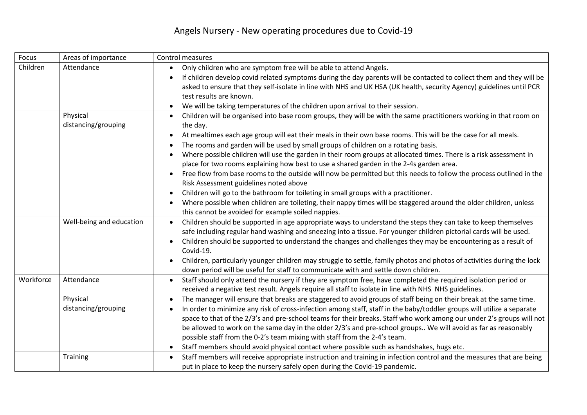## Angels Nursery - New operating procedures due to Covid-19

| Focus     | Areas of importance             | Control measures                                                                                                                                                                                                                                                                                                                                                                                                                                                                                                                                                                                                                                                                                                                                                                                                                                                                                                                                                                           |
|-----------|---------------------------------|--------------------------------------------------------------------------------------------------------------------------------------------------------------------------------------------------------------------------------------------------------------------------------------------------------------------------------------------------------------------------------------------------------------------------------------------------------------------------------------------------------------------------------------------------------------------------------------------------------------------------------------------------------------------------------------------------------------------------------------------------------------------------------------------------------------------------------------------------------------------------------------------------------------------------------------------------------------------------------------------|
| Children  | Attendance                      | Only children who are symptom free will be able to attend Angels.<br>If children develop covid related symptoms during the day parents will be contacted to collect them and they will be<br>asked to ensure that they self-isolate in line with NHS and UK HSA (UK health, security Agency) guidelines until PCR<br>test results are known.<br>We will be taking temperatures of the children upon arrival to their session.<br>$\bullet$                                                                                                                                                                                                                                                                                                                                                                                                                                                                                                                                                 |
|           | Physical<br>distancing/grouping | Children will be organised into base room groups, they will be with the same practitioners working in that room on<br>the day.<br>At mealtimes each age group will eat their meals in their own base rooms. This will be the case for all meals.<br>The rooms and garden will be used by small groups of children on a rotating basis.<br>Where possible children will use the garden in their room groups at allocated times. There is a risk assessment in<br>place for two rooms explaining how best to use a shared garden in the 2-4s garden area.<br>Free flow from base rooms to the outside will now be permitted but this needs to follow the process outlined in the<br>Risk Assessment guidelines noted above<br>Children will go to the bathroom for toileting in small groups with a practitioner.<br>Where possible when children are toileting, their nappy times will be staggered around the older children, unless<br>this cannot be avoided for example soiled nappies. |
|           | Well-being and education        | Children should be supported in age appropriate ways to understand the steps they can take to keep themselves<br>safe including regular hand washing and sneezing into a tissue. For younger children pictorial cards will be used.<br>Children should be supported to understand the changes and challenges they may be encountering as a result of<br>Covid-19.<br>Children, particularly younger children may struggle to settle, family photos and photos of activities during the lock<br>down period will be useful for staff to communicate with and settle down children.                                                                                                                                                                                                                                                                                                                                                                                                          |
| Workforce | Attendance                      | Staff should only attend the nursery if they are symptom free, have completed the required isolation period or<br>$\bullet$<br>received a negative test result. Angels require all staff to isolate in line with NHS NHS guidelines.                                                                                                                                                                                                                                                                                                                                                                                                                                                                                                                                                                                                                                                                                                                                                       |
|           | Physical<br>distancing/grouping | The manager will ensure that breaks are staggered to avoid groups of staff being on their break at the same time.<br>In order to minimize any risk of cross-infection among staff, staff in the baby/toddler groups will utilize a separate<br>space to that of the 2/3's and pre-school teams for their breaks. Staff who work among our under 2's groups will not<br>be allowed to work on the same day in the older 2/3's and pre-school groups We will avoid as far as reasonably<br>possible staff from the 0-2's team mixing with staff from the 2-4's team.<br>Staff members should avoid physical contact where possible such as handshakes, hugs etc.                                                                                                                                                                                                                                                                                                                             |
|           | Training                        | Staff members will receive appropriate instruction and training in infection control and the measures that are being<br>$\bullet$<br>put in place to keep the nursery safely open during the Covid-19 pandemic.                                                                                                                                                                                                                                                                                                                                                                                                                                                                                                                                                                                                                                                                                                                                                                            |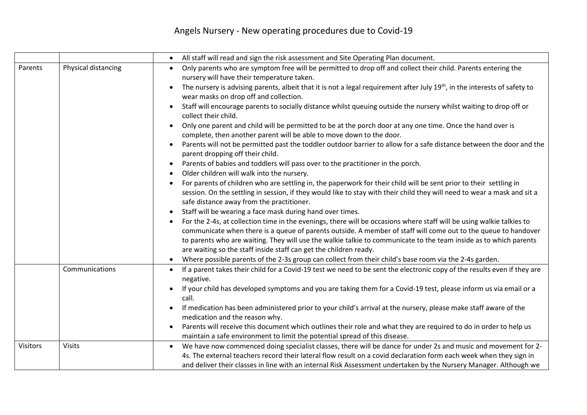## Angels Nursery - New operating procedures due to Covid-19

|                 |                     | All staff will read and sign the risk assessment and Site Operating Plan document.<br>$\bullet$                                                                                                                                                                                                                                                                                                                                   |
|-----------------|---------------------|-----------------------------------------------------------------------------------------------------------------------------------------------------------------------------------------------------------------------------------------------------------------------------------------------------------------------------------------------------------------------------------------------------------------------------------|
| Parents         | Physical distancing | Only parents who are symptom free will be permitted to drop off and collect their child. Parents entering the<br>$\bullet$<br>nursery will have their temperature taken.                                                                                                                                                                                                                                                          |
|                 |                     | The nursery is advising parents, albeit that it is not a legal requirement after July 19 <sup>th</sup> , in the interests of safety to<br>wear masks on drop off and collection.                                                                                                                                                                                                                                                  |
|                 |                     | Staff will encourage parents to socially distance whilst queuing outside the nursery whilst waiting to drop off or<br>$\bullet$<br>collect their child.                                                                                                                                                                                                                                                                           |
|                 |                     | Only one parent and child will be permitted to be at the porch door at any one time. Once the hand over is<br>complete, then another parent will be able to move down to the door.                                                                                                                                                                                                                                                |
|                 |                     | Parents will not be permitted past the toddler outdoor barrier to allow for a safe distance between the door and the<br>parent dropping off their child.                                                                                                                                                                                                                                                                          |
|                 |                     | Parents of babies and toddlers will pass over to the practitioner in the porch.                                                                                                                                                                                                                                                                                                                                                   |
|                 |                     | Older children will walk into the nursery.                                                                                                                                                                                                                                                                                                                                                                                        |
|                 |                     | For parents of children who are settling in, the paperwork for their child will be sent prior to their settling in<br>session. On the settling in session, if they would like to stay with their child they will need to wear a mask and sit a<br>safe distance away from the practitioner.                                                                                                                                       |
|                 |                     | Staff will be wearing a face mask during hand over times.                                                                                                                                                                                                                                                                                                                                                                         |
|                 |                     | For the 2-4s, at collection time in the evenings, there will be occasions where staff will be using walkie talkies to<br>communicate when there is a queue of parents outside. A member of staff will come out to the queue to handover<br>to parents who are waiting. They will use the walkie talkie to communicate to the team inside as to which parents<br>are waiting so the staff inside staff can get the children ready. |
|                 |                     | Where possible parents of the 2-3s group can collect from their child's base room via the 2-4s garden.                                                                                                                                                                                                                                                                                                                            |
|                 | Communications      | If a parent takes their child for a Covid-19 test we need to be sent the electronic copy of the results even if they are<br>$\bullet$<br>negative.                                                                                                                                                                                                                                                                                |
|                 |                     | If your child has developed symptoms and you are taking them for a Covid-19 test, please inform us via email or a<br>call.                                                                                                                                                                                                                                                                                                        |
|                 |                     | If medication has been administered prior to your child's arrival at the nursery, please make staff aware of the<br>medication and the reason why.                                                                                                                                                                                                                                                                                |
|                 |                     | Parents will receive this document which outlines their role and what they are required to do in order to help us<br>maintain a safe environment to limit the potential spread of this disease.                                                                                                                                                                                                                                   |
| <b>Visitors</b> | <b>Visits</b>       | We have now commenced doing specialist classes, there will be dance for under 2s and music and movement for 2-<br>$\bullet$<br>4s. The external teachers record their lateral flow result on a covid declaration form each week when they sign in<br>and deliver their classes in line with an internal Risk Assessment undertaken by the Nursery Manager. Although we                                                            |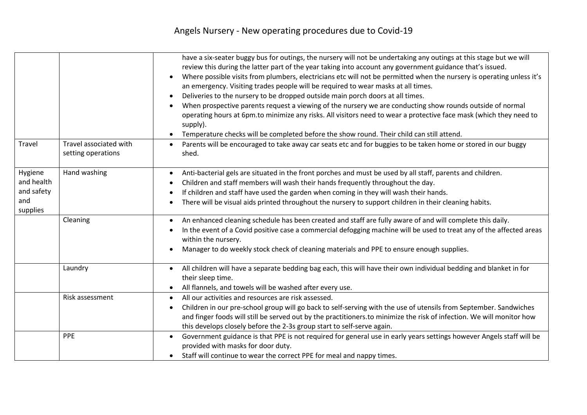|                                                        |                                              | have a six-seater buggy bus for outings, the nursery will not be undertaking any outings at this stage but we will<br>review this during the latter part of the year taking into account any government guidance that's issued.<br>Where possible visits from plumbers, electricians etc will not be permitted when the nursery is operating unless it's<br>an emergency. Visiting trades people will be required to wear masks at all times.<br>Deliveries to the nursery to be dropped outside main porch doors at all times.<br>$\bullet$<br>When prospective parents request a viewing of the nursery we are conducting show rounds outside of normal<br>operating hours at 6pm.to minimize any risks. All visitors need to wear a protective face mask (which they need to<br>supply).<br>Temperature checks will be completed before the show round. Their child can still attend. |
|--------------------------------------------------------|----------------------------------------------|------------------------------------------------------------------------------------------------------------------------------------------------------------------------------------------------------------------------------------------------------------------------------------------------------------------------------------------------------------------------------------------------------------------------------------------------------------------------------------------------------------------------------------------------------------------------------------------------------------------------------------------------------------------------------------------------------------------------------------------------------------------------------------------------------------------------------------------------------------------------------------------|
| Travel                                                 | Travel associated with<br>setting operations | Parents will be encouraged to take away car seats etc and for buggies to be taken home or stored in our buggy<br>shed.                                                                                                                                                                                                                                                                                                                                                                                                                                                                                                                                                                                                                                                                                                                                                                   |
| Hygiene<br>and health<br>and safety<br>and<br>supplies | Hand washing                                 | Anti-bacterial gels are situated in the front porches and must be used by all staff, parents and children.<br>Children and staff members will wash their hands frequently throughout the day.<br>If children and staff have used the garden when coming in they will wash their hands.<br>There will be visual aids printed throughout the nursery to support children in their cleaning habits.                                                                                                                                                                                                                                                                                                                                                                                                                                                                                         |
|                                                        | Cleaning                                     | An enhanced cleaning schedule has been created and staff are fully aware of and will complete this daily.<br>In the event of a Covid positive case a commercial defogging machine will be used to treat any of the affected areas<br>within the nursery.<br>Manager to do weekly stock check of cleaning materials and PPE to ensure enough supplies.                                                                                                                                                                                                                                                                                                                                                                                                                                                                                                                                    |
|                                                        | Laundry                                      | All children will have a separate bedding bag each, this will have their own individual bedding and blanket in for<br>$\bullet$<br>their sleep time.<br>All flannels, and towels will be washed after every use.                                                                                                                                                                                                                                                                                                                                                                                                                                                                                                                                                                                                                                                                         |
|                                                        | Risk assessment                              | All our activities and resources are risk assessed.<br>Children in our pre-school group will go back to self-serving with the use of utensils from September. Sandwiches<br>and finger foods will still be served out by the practitioners.to minimize the risk of infection. We will monitor how<br>this develops closely before the 2-3s group start to self-serve again.                                                                                                                                                                                                                                                                                                                                                                                                                                                                                                              |
|                                                        | <b>PPE</b>                                   | Government guidance is that PPE is not required for general use in early years settings however Angels staff will be<br>provided with masks for door duty.<br>Staff will continue to wear the correct PPE for meal and nappy times.                                                                                                                                                                                                                                                                                                                                                                                                                                                                                                                                                                                                                                                      |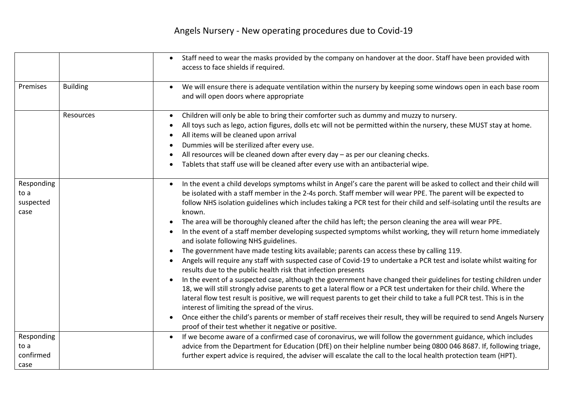## Angels Nursery - New operating procedures due to Covid-19

|                                         |                 | Staff need to wear the masks provided by the company on handover at the door. Staff have been provided with<br>access to face shields if required.                                                                                                                                                                                                                                                                                                                                                                                                                                                                                                                                                                                                                                                                                                                                                                                                                                                                                                                                                                                                                                                                                                                                                                                                                                                                                                                                                                                                                    |
|-----------------------------------------|-----------------|-----------------------------------------------------------------------------------------------------------------------------------------------------------------------------------------------------------------------------------------------------------------------------------------------------------------------------------------------------------------------------------------------------------------------------------------------------------------------------------------------------------------------------------------------------------------------------------------------------------------------------------------------------------------------------------------------------------------------------------------------------------------------------------------------------------------------------------------------------------------------------------------------------------------------------------------------------------------------------------------------------------------------------------------------------------------------------------------------------------------------------------------------------------------------------------------------------------------------------------------------------------------------------------------------------------------------------------------------------------------------------------------------------------------------------------------------------------------------------------------------------------------------------------------------------------------------|
| Premises                                | <b>Building</b> | We will ensure there is adequate ventilation within the nursery by keeping some windows open in each base room<br>and will open doors where appropriate                                                                                                                                                                                                                                                                                                                                                                                                                                                                                                                                                                                                                                                                                                                                                                                                                                                                                                                                                                                                                                                                                                                                                                                                                                                                                                                                                                                                               |
|                                         | Resources       | Children will only be able to bring their comforter such as dummy and muzzy to nursery.<br>All toys such as lego, action figures, dolls etc will not be permitted within the nursery, these MUST stay at home.<br>All items will be cleaned upon arrival<br>Dummies will be sterilized after every use.<br>All resources will be cleaned down after every day - as per our cleaning checks.<br>Tablets that staff use will be cleaned after every use with an antibacterial wipe.                                                                                                                                                                                                                                                                                                                                                                                                                                                                                                                                                                                                                                                                                                                                                                                                                                                                                                                                                                                                                                                                                     |
| Responding<br>to a<br>suspected<br>case |                 | In the event a child develops symptoms whilst in Angel's care the parent will be asked to collect and their child will<br>$\bullet$<br>be isolated with a staff member in the 2-4s porch. Staff member will wear PPE. The parent will be expected to<br>follow NHS isolation guidelines which includes taking a PCR test for their child and self-isolating until the results are<br>known.<br>The area will be thoroughly cleaned after the child has left; the person cleaning the area will wear PPE.<br>In the event of a staff member developing suspected symptoms whilst working, they will return home immediately<br>and isolate following NHS guidelines.<br>The government have made testing kits available; parents can access these by calling 119.<br>Angels will require any staff with suspected case of Covid-19 to undertake a PCR test and isolate whilst waiting for<br>results due to the public health risk that infection presents<br>In the event of a suspected case, although the government have changed their guidelines for testing children under<br>18, we will still strongly advise parents to get a lateral flow or a PCR test undertaken for their child. Where the<br>lateral flow test result is positive, we will request parents to get their child to take a full PCR test. This is in the<br>interest of limiting the spread of the virus.<br>Once either the child's parents or member of staff receives their result, they will be required to send Angels Nursery<br>proof of their test whether it negative or positive. |
| Responding<br>to a<br>confirmed<br>case |                 | If we become aware of a confirmed case of coronavirus, we will follow the government guidance, which includes<br>$\bullet$<br>advice from the Department for Education (DfE) on their helpline number being 0800 046 8687. If, following triage,<br>further expert advice is required, the adviser will escalate the call to the local health protection team (HPT).                                                                                                                                                                                                                                                                                                                                                                                                                                                                                                                                                                                                                                                                                                                                                                                                                                                                                                                                                                                                                                                                                                                                                                                                  |